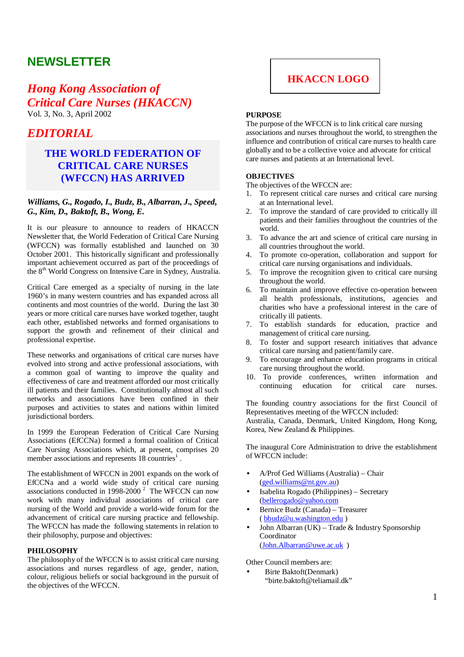# **NEWSLETTER**

# *Hong Kong Association of Critical Care Nurses (HKACCN)*  Vol. 3, No. 3, April 2002

# *EDITORIAL*

## **THE WORLD FEDERATION OF CRITICAL CARE NURSES (WFCCN) HAS ARRIVED**

## *Williams, G., Rogado, I., Budz, B., Albarran, J., Speed, G., Kim, D., Baktoft, B., Wong, E.*

It is our pleasure to announce to readers of HKACCN Newsletter that, the World Federation of Critical Care Nursing (WFCCN) was formally established and launched on 30 October 2001. This historically significant and professionally important achievement occurred as part of the proceedings of the 8<sup>th</sup> World Congress on Intensive Care in Sydney, Australia.

Critical Care emerged as a specialty of nursing in the late 1960's in many western countries and has expanded across all continents and most countries of the world. During the last 30 years or more critical care nurses have worked together, taught each other, established networks and formed organisations to support the growth and refinement of their clinical and professional expertise.

These networks and organisations of critical care nurses have evolved into strong and active professional associations, with a common goal of wanting to improve the quality and effectiveness of care and treatment afforded our most critically ill patients and their families. Constitutionally almost all such networks and associations have been confined in their purposes and activities to states and nations within limited jurisdictional borders.

In 1999 the European Federation of Critical Care Nursing Associations (EfCCNa) formed a formal coalition of Critical Care Nursing Associations which, at present, comprises 20 member associations and represents  $18$  countries<sup>1</sup>.

The establishment of WFCCN in 2001 expands on the work of EfCCNa and a world wide study of critical care nursing associations conducted in 1998-2000<sup> $2$ </sup> The WFCCN can now work with many individual associations of critical care nursing of the World and provide a world-wide forum for the advancement of critical care nursing practice and fellowship. The WFCCN has made the following statements in relation to their philosophy, purpose and objectives:

## **PHILOSOPHY**

The philosophy of the WFCCN is to assist critical care nursing associations and nurses regardless of age, gender, nation, colour, religious beliefs or social background in the pursuit of the objectives of the WFCCN.



## **PURPOSE**

The purpose of the WFCCN is to link critical care nursing associations and nurses throughout the world, to strengthen the influence and contribution of critical care nurses to health care globally and to be a collective voice and advocate for critical care nurses and patients at an International level.

### **OBJECTIVES**

The objectives of the WFCCN are:

- 1. To represent critical care nurses and critical care nursing at an International level.
- 2. To improve the standard of care provided to critically ill patients and their families throughout the countries of the world.
- 3. To advance the art and science of critical care nursing in all countries throughout the world.
- 4. To promote co-operation, collaboration and support for critical care nursing organisations and individuals.
- 5. To improve the recognition given to critical care nursing throughout the world.
- 6. To maintain and improve effective co-operation between all health professionals, institutions, agencies and charities who have a professional interest in the care of critically ill patients.
- 7. To establish standards for education, practice and management of critical care nursing.
- 8. To foster and support research initiatives that advance critical care nursing and patient/family care.
- 9. To encourage and enhance education programs in critical care nursing throughout the world.
- 10. To provide conferences, written information and continuing education for critical care nurses.

The founding country associations for the first Council of Representatives meeting of the WFCCN included: Australia, Canada, Denmark, United Kingdom, Hong Kong, Korea, New Zealand & Philippines.

The inaugural Core Administration to drive the establishment of WFCCN include:

- A/Prof Ged Williams (Australia) Chair (ged.williams@nt.gov.au)
- Isabelita Rogado (Philippines) Secretary (bellerogado@yahoo.com
- Bernice Budz (Canada) Treasurer ( bbudz@u.washington.edu )
- John Albarran (UK) Trade & Industry Sponsorship Coordinator (John.Albarran@uwe.ac.uk )

Other Council members are:

• Birte Baktoft(Denmark) "birte.baktoft@teliamail.dk"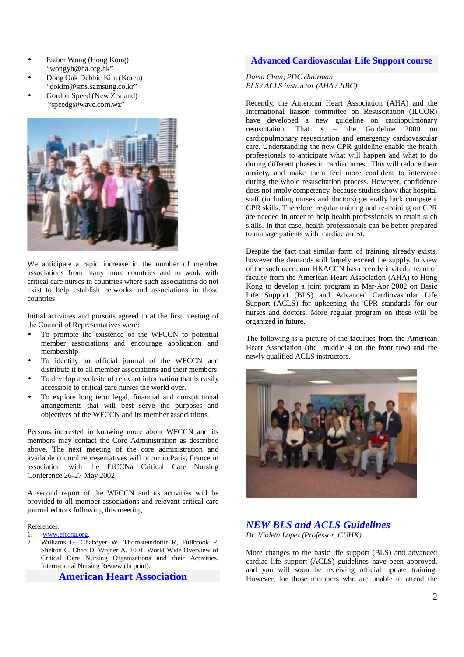- Esther Wong (Hong Kong) "wongyh@ha.org.hk"
- Dong Oak Debbie Kim (Korea) "dokim@sms.samsung.co.kr"
- Gordon Speed (New Zealand) "speedg@wave.com.wz"



We anticipate a rapid increase in the number of member associations from many more countries and to work with critical care nurses in countries where such associations do not exist to help establish networks and associations in those countries.

Initial activities and pursuits agreed to at the first meeting of the Council of Representatives were:

- To promote the existence of the WFCCN to potential member associations and encourage application and membership
- To identify an official journal of the WFCCN and distribute it to all member associations and their members
- To develop a website of relevant information that is easily accessible to critical care nurses the world over.
- To explore long term legal, financial and constitutional arrangements that will best serve the purposes and objectives of the WFCCN and its member associations.

Persons interested in knowing more about WFCCN and its members may contact the Core Administration as described above. The next meeting of the core administration and available council representatives will occur in Paris, France in association with the EfCCNa Critical Care Nursing Conference 26-27 May 2002.

A second report of the WFCCN and its activities will be provided to all member associations and relevant critical care journal editors following this meeting.

#### References:

- 1. www.efccna.org.
- 2. Williams G, Chaboyer W, Thornsteindottir R, Fullbrook P, Shelton C, Chan D, Wojner A. 2001. World Wide Overview of Critical Care Nursing Organisations and their Activities. International Nursing Review (In print).

## **American Heart Association**

## **Advanced Cardiovascular Life Support course**

### *David Chan, PDC chairman BLS / ACLS instructor (AHA / JIBC)*

Recently, the American Heart Association (AHA) and the International liaison committee on Resuscitation (ILCOR) have developed a new guideline on cardiopulmonary resuscitation. That is – the Guideline 2000 on cardiopulmonary resuscitation and emergency cardiovascular care. Understanding the new CPR guideline enable the health professionals to anticipate what will happen and what to do during different phases in cardiac arrest. This will reduce their anxiety, and make them feel more confident to intervene during the whole resuscitation process. However, confidence does not imply competency, because studies show that hospital staff (including nurses and doctors) generally lack competent CPR skills. Therefore, regular training and re-training on CPR are needed in order to help health professionals to retain such skills. In that case, health professionals can be better prepared to manage patients with cardiac arrest.

Despite the fact that similar form of training already exists, however the demands still largely exceed the supply. In view of the such need, our HKACCN has recently invited a team of faculty from the American Heart Association (AHA) to Hong Kong to develop a joint program in Mar-Apr 2002 on Basic Life Support (BLS) and Advanced Cardiovascular Life Support (ACLS) for upkeeping the CPR standards for our nurses and doctors. More regular program on these will be organized in future.

The following is a picture of the faculties from the American Heart Association (the middle 4 on the front row) and the newly qualified ACLS instructors.



## *NEW BLS and ACLS Guidelines Dr. Violeta Lopez (Professor, CUHK)*

More changes to the basic life support (BLS) and advanced cardiac life support (ACLS) guidelines have been approved, and you will soon be receiving official update training. However, for those members who are unable to attend the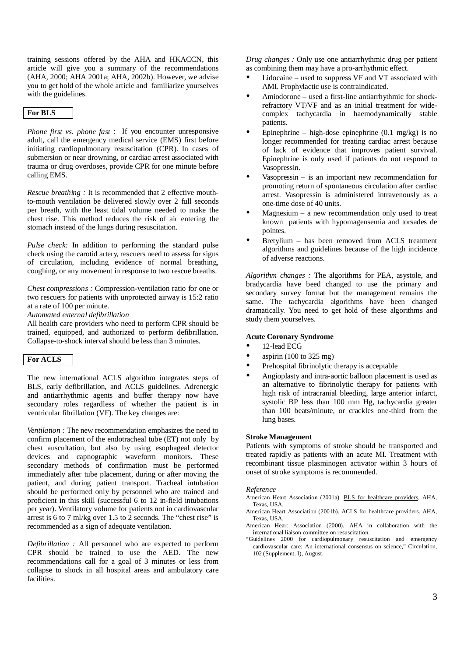training sessions offered by the AHA and HKACCN, this article will give you a summary of the recommendations (AHA, 2000; AHA 2001a; AHA, 2002b). However, we advise you to get hold of the whole article and familiarize yourselves with the guidelines.

### **For BLS**

*Phone first vs. phone fast* : If you encounter unresponsive adult, call the emergency medical service (EMS) first before initiating cardiopulmonary resuscitation (CPR). In cases of submersion or near drowning, or cardiac arrest associated with trauma or drug overdoses, provide CPR for one minute before calling EMS.

*Rescue breathing :* It is recommended that 2 effective mouthto-mouth ventilation be delivered slowly over 2 full seconds per breath, with the least tidal volume needed to make the chest rise. This method reduces the risk of air entering the stomach instead of the lungs during resuscitation.

*Pulse check:* In addition to performing the standard pulse check using the carotid artery, rescuers need to assess for signs of circulation, including evidence of normal breathing, coughing, or any movement in response to two rescue breaths.

*Chest compressions :* Compression-ventilation ratio for one or two rescuers for patients with unprotected airway is 15:2 ratio at a rate of 100 per minute.

*Automated external defibrillation* 

All health care providers who need to perform CPR should be trained, equipped, and authorized to perform defibrillation. Collapse-to-shock interval should be less than 3 minutes.

### **For ACLS**

The new international ACLS algorithm integrates steps of BLS, early defibrillation, and ACLS guidelines. Adrenergic and antiarrhythmic agents and buffer therapy now have secondary roles regardless of whether the patient is in ventricular fibrillation (VF). The key changes are:

*Ventilation :* The new recommendation emphasizes the need to confirm placement of the endotracheal tube (ET) not only by chest auscultation, but also by using esophageal detector devices and capnographic waveform monitors. These secondary methods of confirmation must be performed immediately after tube placement, during or after moving the patient, and during patient transport. Tracheal intubation should be performed only by personnel who are trained and proficient in this skill (successful 6 to 12 in-field intubations per year). Ventilatory volume for patients not in cardiovascular arrest is 6 to 7 ml/kg over 1.5 to  $\overline{2}$  seconds. The "chest rise" is recommended as a sign of adequate ventilation.

*Defibrillation :* All personnel who are expected to perform CPR should be trained to use the AED. The new recommendations call for a goal of 3 minutes or less from collapse to shock in all hospital areas and ambulatory care **facilities** 

*Drug changes :* Only use one antiarrhythmic drug per patient as combining them may have a pro-arrhythmic effect.

- Lidocaine used to suppress VF and VT associated with AMI. Prophylactic use is contraindicated.
- Amiodorone used a first-line antiarrhythmic for shockrefractory VT/VF and as an initial treatment for widecomplex tachycardia in haemodynamically stable patients.
- Epinephrine high-dose epinephrine  $(0.1 \text{ mg/kg})$  is no longer recommended for treating cardiac arrest because of lack of evidence that improves patient survival. Epinephrine is only used if patients do not respond to Vasopressin.
- Vasopressin is an important new recommendation for promoting return of spontaneous circulation after cardiac arrest. Vasopressin is administered intravenously as a one-time dose of 40 units.
- Magnesium a new recommendation only used to treat known patients with hypomagensemia and torsades de pointes.
- Bretylium has been removed from ACLS treatment algorithms and guidelines because of the high incidence of adverse reactions.

*Algorithm changes :* The algorithms for PEA, asystole, and bradycardia have beed changed to use the primary and secondary survey format but the management remains the same. The tachycardia algorithms have been changed dramatically. You need to get hold of these algorithms and study them yourselves.

#### **Acute Coronary Syndrome**

- 12-lead ECG
- aspirin  $(100 \text{ to } 325 \text{ mg})$
- Prehospital fibrinolytic therapy is acceptable
- Angioplasty and intra-aortic balloon placement is used as an alternative to fibrinolytic therapy for patients with high risk of intracranial bleeding, large anterior infarct, systolic BP less than 100 mm Hg, tachycardia greater than 100 beats/minute, or crackles one-third from the lung bases.

#### **Stroke Management**

Patients with symptoms of stroke should be transported and treated rapidly as patients with an acute MI. Treatment with recombinant tissue plasminogen activator within 3 hours of onset of stroke symptoms is recommended.

#### *Reference*

- American Heart Association (2001a). **BLS** for healthcare providers, AHA, Texas, USA.
- American Heart Association (2001b). ACLS for healthcare providers. AHA, Texas, USA.
- American Heart Association (2000). AHA in collaboration with the international liaison committee on resuscitation.
- "Guidelines 2000 for cardiopulmonary resuscitation and emergency cardiovascular care: An international consensus on science," Circulation, 102 (Supplement. I), August.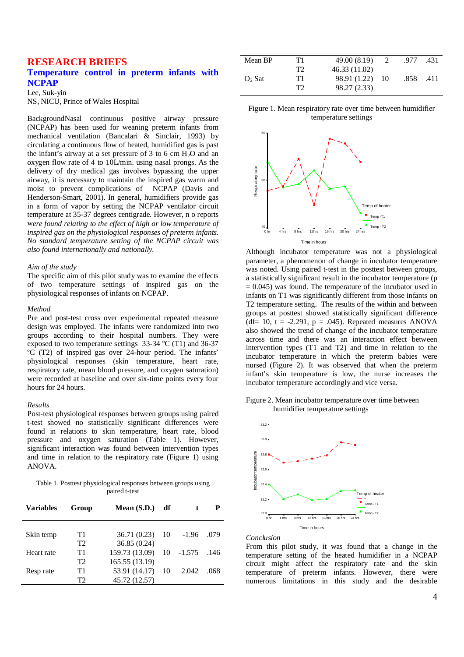## **RESEARCH BRIEFS Temperature control in preterm infants with NCPAP**

Lee, Suk-yin NS, NICU, Prince of Wales Hospital

BackgroundNasal continuous positive airway pressure (NCPAP) has been used for weaning preterm infants from mechanical ventilation (Bancalari & Sinclair, 1993) by circulating a continuous flow of heated, humidified gas is past the infant's airway at a set pressure of 3 to 6 cm  $H_2O$  and an oxygen flow rate of 4 to 10L/min. using nasal prongs. As the delivery of dry medical gas involves bypassing the upper airway, it is necessary to maintain the inspired gas warm and moist to prevent complications of NCPAP (Davis and Henderson-Smart, 2001). In general, humidifiers provide gas in a form of vapor by setting the NCPAP ventilator circuit temperature at 35-37 degrees centigrade. However, n o reports w*ere found relating to the effect of high or low temperature of inspired gas on the physiological responses of preterm infants. No standard temperature setting of the NCPAP circuit was also found internationally and nationally.* 

#### *Aim of the study*

The specific aim of this pilot study was to examine the effects of two temperature settings of inspired gas on the physiological responses of infants on NCPAP.

#### *Method*

Pre and post-test cross over experimental repeated measure design was employed. The infants were randomized into two groups according to their hospital numbers. They were exposed to two temperature settings  $33-34$  °C (T1) and  $36-37$ <br>°C (T2) of inspired  $986$  over  $24$  bour period. The infents'  $^{\circ}$ C (T2) of inspired gas over 24-hour period. The infants' physiological responses (skin temperature, heart rate, respiratory rate, mean blood pressure, and oxygen saturation) were recorded at baseline and over six-time points every four hours for 24 hours.

#### *Results*

Post-test physiological responses between groups using paired t-test showed no statistically significant differences were found in relations to skin temperature, heart rate, blood pressure and oxygen saturation (Table 1). However, significant interaction was found between intervention types and time in relation to the respiratory rate (Figure 1) using ANOVA.

Table 1. Posttest physiological responses between groups using paired t-test

| <b>Variables</b> | Group | Mean $(S.D.)$  | df |          | P    |
|------------------|-------|----------------|----|----------|------|
| Skin temp        | T1    | 36.71 (0.23)   | 10 | $-1.96$  | .079 |
|                  | T2    | 36.85(0.24)    |    |          |      |
| Heart rate       | T1    | 159.73 (13.09) | 10 | $-1.575$ | .146 |
|                  | T2    | 165.55 (13.19) |    |          |      |
| Resp rate        | T1    | 53.91 (14.17)  | 10 | 2.042    | .068 |
|                  | T2    | 45.72 (12.57)  |    |          |      |

| Mean BP  | T1 | 49.00 (8.19)  |     | .977 | .431 |
|----------|----|---------------|-----|------|------|
|          | T2 | 46.33 (11.02) |     |      |      |
| $O2$ Sat | T1 | 98.91 (1.22)  | -10 | .858 | .411 |
|          | Т2 | 98.27 (2.33)  |     |      |      |

#### Figure 1. Mean respiratory rate over time between humidifier temperature settings



Although incubator temperature was not a physiological parameter, a phenomenon of change in incubator temperature was noted. Using paired t-test in the posttest between groups, a statistically significant result in the incubator temperature (p  $= 0.045$ ) was found. The temperature of the incubator used in infants on T1 was significantly different from those infants on T2 temperature setting. The results of the within and between groups at posttest showed statistically significant difference (df = 10, t =  $-2.291$ , p = .045). Repeated measures ANOVA also showed the trend of change of the incubator temperature across time and there was an interaction effect between intervention types (T1 and T2) and time in relation to the incubator temperature in which the preterm babies were nursed (Figure 2). It was observed that when the preterm infant's skin temperature is low, the nurse increases the incubator temperature accordingly and vice versa.

Figure 2. Mean incubator temperature over time between humidifier temperature settings



*Conclusion* 

From this pilot study, it was found that a change in the temperature setting of the heated humidifier in a NCPAP circuit might affect the respiratory rate and the skin temperature of preterm infants. However, there were numerous limitations in this study and the desirable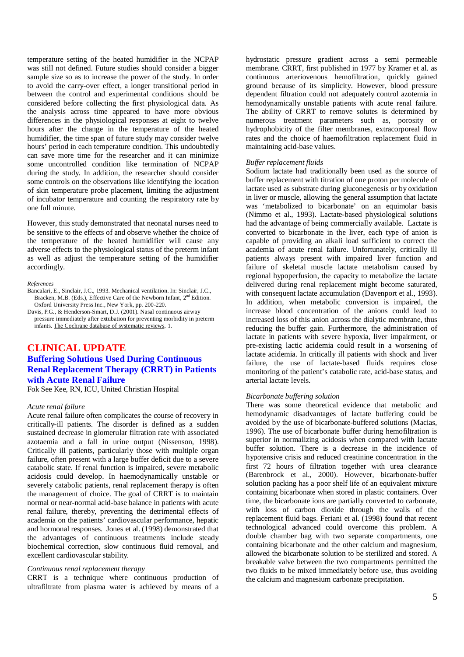temperature setting of the heated humidifier in the NCPAP was still not defined. Future studies should consider a bigger sample size so as to increase the power of the study. In order to avoid the carry-over effect, a longer transitional period in between the control and experimental conditions should be considered before collecting the first physiological data. As the analysis across time appeared to have more obvious differences in the physiological responses at eight to twelve hours after the change in the temperature of the heated humidifier, the time span of future study may consider twelve hours' period in each temperature condition. This undoubtedly can save more time for the researcher and it can minimize some uncontrolled condition like termination of NCPAP during the study. In addition, the researcher should consider some controls on the observations like identifying the location of skin temperature probe placement, limiting the adjustment of incubator temperature and counting the respiratory rate by one full minute.

However, this study demonstrated that neonatal nurses need to be sensitive to the effects of and observe whether the choice of the temperature of the heated humidifier will cause any adverse effects to the physiological status of the preterm infant as well as adjust the temperature setting of the humidifier accordingly.

#### *References*

Bancalari, E., Sinclair, J.C., 1993. Mechanical ventilation. In: Sinclair, J.C., Bracken, M.B. (Eds.), Effective Care of the Newborn Infant, 2<sup>nd</sup> Edition. Oxford University Press Inc., New York, pp. 200-220.

Davis, P.G., & Henderson-Smart, D.J. (2001). Nasal continuous airway pressure immediately after extubation for preventing morbidity in preterm infants. The Cochrane database of systematic reviews, 1.

## **CLINICAL UPDATE Buffering Solutions Used During Continuous Renal Replacement Therapy (CRRT) in Patients with Acute Renal Failure**

Fok See Kee, RN, ICU, United Christian Hospital

#### *Acute renal failure*

Acute renal failure often complicates the course of recovery in critically-ill patients. The disorder is defined as a sudden sustained decrease in glomerular filtration rate with associated azotaemia and a fall in urine output (Nissenson, 1998). Critically ill patients, particularly those with multiple organ failure, often present with a large buffer deficit due to a severe catabolic state. If renal function is impaired, severe metabolic acidosis could develop. In haemodynamically unstable or severely catabolic patients, renal replacement therapy is often the management of choice. The goal of CRRT is to maintain normal or near-normal acid-base balance in patients with acute renal failure, thereby, preventing the detrimental effects of academia on the patients' cardiovascular performance, hepatic and hormonal responses. Jones et al. (1998) demonstrated that the advantages of continuous treatments include steady biochemical correction, slow continuous fluid removal, and excellent cardiovascular stability.

#### *Continuous renal replacement therapy*

CRRT is a technique where continuous production of ultrafiltrate from plasma water is achieved by means of a

hydrostatic pressure gradient across a semi permeable membrane. CRRT, first published in 1977 by Kramer et al. as continuous arteriovenous hemofiltration, quickly gained ground because of its simplicity. However, blood pressure dependent filtration could not adequately control azotemia in hemodynamically unstable patients with acute renal failure. The ability of CRRT to remove solutes is determined by numerous treatment parameters such as, porosity or hydrophobicity of the filter membranes, extracorporeal flow rates and the choice of haemofiltration replacement fluid in maintaining acid-base values.

#### *Buffer replacement fluids*

Sodium lactate had traditionally been used as the source of buffer replacement with titration of one proton per molecule of lactate used as substrate during gluconegenesis or by oxidation in liver or muscle, allowing the general assumption that lactate was 'metabolized to bicarbonate' on an equimolar basis (Nimmo et al., 1993). Lactate-based physiological solutions had the advantage of being commercially available. Lactate is converted to bicarbonate in the liver, each type of anion is capable of providing an alkali load sufficient to correct the academia of acute renal failure. Unfortunately, critically ill patients always present with impaired liver function and failure of skeletal muscle lactate metabolism caused by regional hypoperfusion, the capacity to metabolize the lactate delivered during renal replacement might become saturated, with consequent lactate accumulation (Davenport et al., 1993). In addition, when metabolic conversion is impaired, the increase blood concentration of the anions could lead to increased loss of this anion across the dialytic membrane, thus reducing the buffer gain. Furthermore, the administration of lactate in patients with severe hypoxia, liver impairment, or pre-existing lactic acidemia could result in a worsening of lactate acidemia. In critically ill patients with shock and liver failure, the use of lactate-based fluids requires close monitoring of the patient's catabolic rate, acid-base status, and arterial lactate levels.

#### *Bicarbonate buffering solution*

There was some theoretical evidence that metabolic and hemodynamic disadvantages of lactate buffering could be avoided by the use of bicarbonate-buffered solutions (Macias, 1996). The use of bicarbonate buffer during hemofiltration is superior in normalizing acidosis when compared with lactate buffer solution. There is a decrease in the incidence of hypotensive crisis and reduced creatinine concentration in the first 72 hours of filtration together with urea clearance (Barenbrock et al., 2000). However, bicarbonate-buffer solution packing has a poor shelf life of an equivalent mixture containing bicarbonate when stored in plastic containers. Over time, the bicarbonate ions are partially converted to carbonate, with loss of carbon dioxide through the walls of the replacement fluid bags. Feriani et al. (1998) found that recent technological advanced could overcome this problem. A double chamber bag with two separate compartments, one containing bicarbonate and the other calcium and magnesium, allowed the bicarbonate solution to be sterilized and stored. A breakable valve between the two compartments permitted the two fluids to be mixed immediately before use, thus avoiding the calcium and magnesium carbonate precipitation.